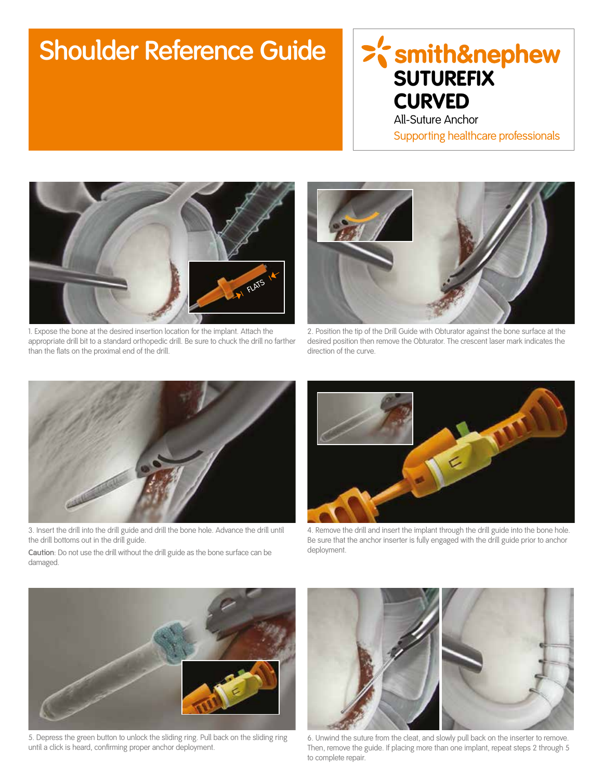## **Shoulder Reference Guide**

## >'smith&nephew **SUTUREFIX CURVED**

All-Suture Anchor Supporting healthcare professionals



1. Expose the bone at the desired insertion location for the implant. Attach the appropriate drill bit to a standard orthopedic drill. Be sure to chuck the drill no farther than the flats on the proximal end of the drill.



2. Position the tip of the Drill Guide with Obturator against the bone surface at the desired position then remove the Obturator. The crescent laser mark indicates the direction of the curve.



3. Insert the drill into the drill guide and drill the bone hole. Advance the drill until the drill bottoms out in the drill guide.

4. Remove the drill and insert the implant through the drill guide into the bone hole. Be sure that the anchor inserter is fully engaged with the drill guide prior to anchor deployment.

**Caution**: Do not use the drill without the drill guide as the bone surface can be damaged.



5. Depress the green button to unlock the sliding ring. Pull back on the sliding ring until a click is heard, confirming proper anchor deployment.



6. Unwind the suture from the cleat, and slowly pull back on the inserter to remove. Then, remove the guide. If placing more than one implant, repeat steps 2 through 5 to complete repair.